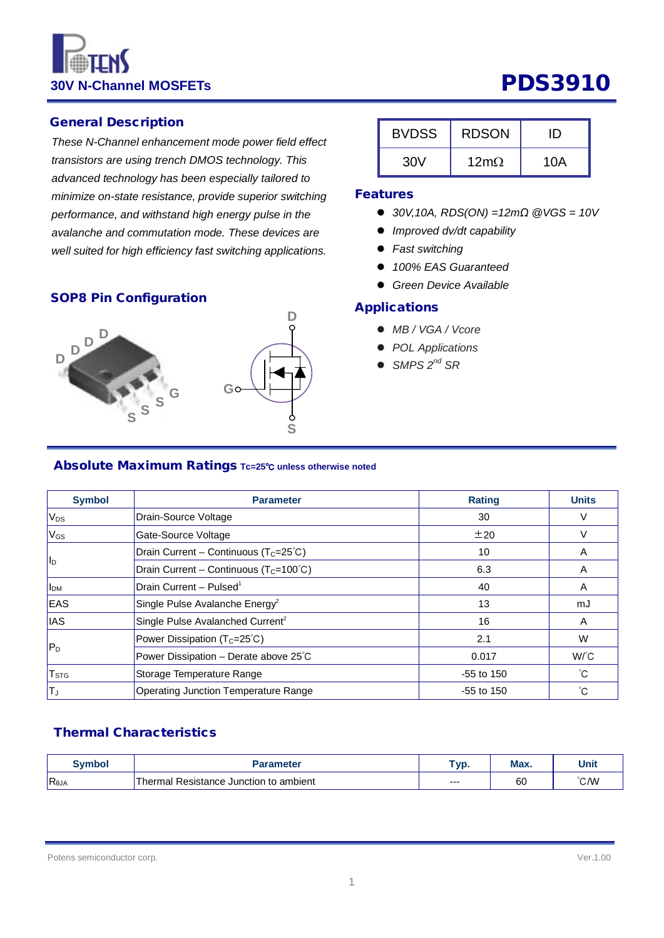**30V N-Channel MOSFETs PDS3910** 

### General Description

*These N-Channel enhancement mode power field effect transistors are using trench DMOS technology. This advanced technology has been especially tailored to minimize on-state resistance, provide superior switching performance, and withstand high energy pulse in the avalanche and commutation mode. These devices are well suited for high efficiency fast switching applications.*

# SOP8 Pin Configuration **Applications**



| <b>BVDSS</b> | <b>RDSON</b>           |     |
|--------------|------------------------|-----|
| 30V          | $12 \text{m}$ $\Omega$ | 10A |

### Features

- *30V,10A, RDS(ON) =12mΩ @VGS = 10V*
- *Improved dv/dt capability*
- *Fast switching*
- *100% EAS Guaranteed*
- *Green Device Available*

- *MB / VGA / Vcore*
- *POL Applications*
- *SMPS 2nd SR*

# Absolute Maximum Ratings **Tc=25**℃ **unless otherwise noted**

| <b>Symbol</b>           | <b>Parameter</b>                                    | <b>Rating</b> | <b>Units</b> |
|-------------------------|-----------------------------------------------------|---------------|--------------|
| V <sub>DS</sub>         | Drain-Source Voltage                                | 30            |              |
| $V_{GS}$                | Gate-Source Voltage                                 | ±20           |              |
|                         | Drain Current - Continuous ( $T_c = 25^{\circ}C$ )  | 10            | A            |
| l <sub>D</sub>          | Drain Current - Continuous ( $T_c = 100^{\circ}C$ ) | 6.3           | A            |
| <b>I</b> <sub>DM</sub>  | Drain Current - Pulsed <sup>1</sup>                 | 40            | A            |
| <b>EAS</b>              | Single Pulse Avalanche Energy <sup>2</sup>          | 13            | mJ           |
| <b>IAS</b>              | Single Pulse Avalanched Current <sup>2</sup>        | 16            | A            |
|                         | Power Dissipation $(T_c=25^{\circ}C)$               | 2.1           | W            |
| $ P_D $                 | Power Dissipation - Derate above 25°C               | 0.017         | $W^{\circ}C$ |
| <b>T</b> <sub>STG</sub> | Storage Temperature Range                           | $-55$ to 150  | °С           |
| TJ                      | Operating Junction Temperature Range                | $-55$ to 150  | °С           |

### Thermal Characteristics

| Svmbol         | Parameter                                    | $\tau$ vp. | Max. | Unit |
|----------------|----------------------------------------------|------------|------|------|
| $R_{\theta$ JA | al Resistance Junction to ambient<br>Thermal | $- - -$    | 60   | °C/W |

Potens semiconductor corp. Ver.1.00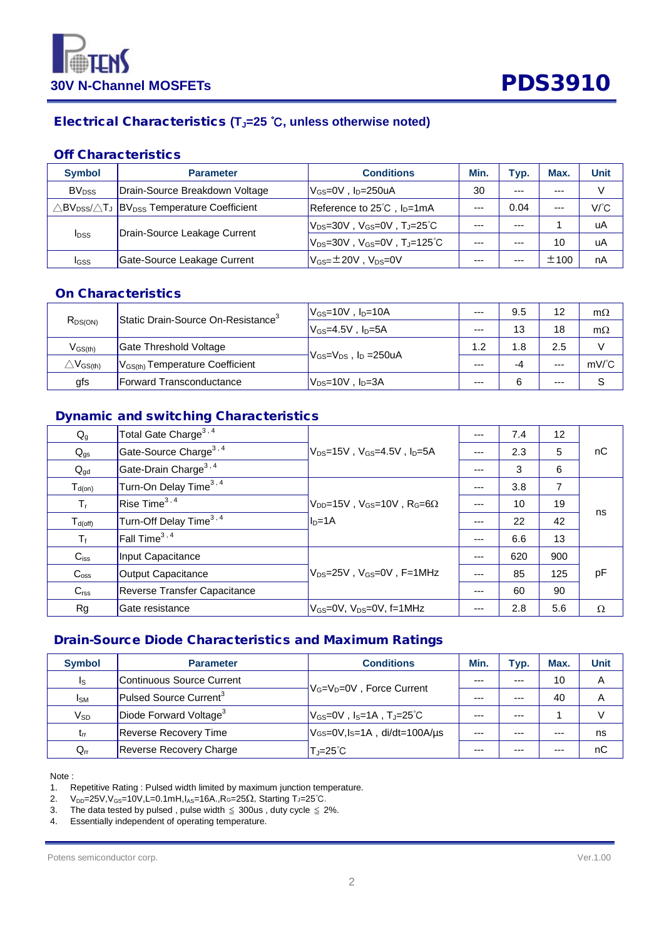

# Electrical Characteristics **(TJ=25** ℃**, unless otherwise noted)**

### Off Characteristics

| <b>Symbol</b>           | <b>Parameter</b>                                                                                         | <b>Conditions</b>                               | Min.  | Typ.    | Max.  | <b>Unit</b> |
|-------------------------|----------------------------------------------------------------------------------------------------------|-------------------------------------------------|-------|---------|-------|-------------|
| <b>BV<sub>DSS</sub></b> | Drain-Source Breakdown Voltage                                                                           | $V_{GS}=$ 0V, $I_D=$ 250uA                      | 30    | $- - -$ | ---   |             |
|                         | $\triangle$ BV $_{\text{DSS}}$ / $\triangle$ T $_{\text{J}}$  BV $_{\text{DSS}}$ Temperature Coefficient | Reference to $25^{\circ}$ C, $I_{D}$ =1mA       | $--$  | 0.04    | $---$ | V/°C        |
|                         | Drain-Source Leakage Current                                                                             | $ V_{DS}=30V$ , $V_{GS}=0V$ , $T_J=25^\circ C$  | ---   | $- - -$ |       | uA          |
| <b>I</b> <sub>DSS</sub> |                                                                                                          | $V_{DS}$ =30V,V $_{GS}$ =0V,T」=125 $^{\circ}$ C | $---$ | $- - -$ | 10    | uA          |
| IGSS                    | Gate-Source Leakage Current                                                                              | $V_{GS} = \pm 20V$ , $V_{DS} = 0V$              | ---   | ---     | ±100  | nA          |

### On Characteristics

| $R_{DS(ON)}$                                        | Static Drain-Source On-Resistance <sup>3</sup> | $V_{GS}$ =10V, I <sub>D</sub> =10A | $--$    | 9.5 | 12    | $m\Omega$     |
|-----------------------------------------------------|------------------------------------------------|------------------------------------|---------|-----|-------|---------------|
|                                                     |                                                | $V_{GS}$ =4.5V, I <sub>D</sub> =5A | $--$    | 13  | 18    | $m\Omega$     |
| $\rm V_{GS(th)}$                                    | Gate Threshold Voltage                         |                                    | 1.2     | 1.8 | 2.5   |               |
| $\triangle \mathsf{V}_{\mathsf{GS}(\mathsf{th})}$ . | $ V_{GS(th)}$ Temperature Coefficient          | $V_{GS}=V_{DS}$ , $I_D = 250uA$    |         | -4  | $---$ | $mV^{\circ}C$ |
| gfs                                                 | <b>Forward Transconductance</b>                | $V_{DS}$ =10V , I <sub>D</sub> =3A | $- - -$ |     | $---$ |               |

# Dynamic and switching Characteristics

| $Q_{g}$          | Total Gate Charge <sup>3,4</sup>    |                                                             | $---$ | 7.4 | 12  |          |
|------------------|-------------------------------------|-------------------------------------------------------------|-------|-----|-----|----------|
| $Q_{gs}$         | Gate-Source Charge <sup>3, 4</sup>  | lVns=15V . Vgs=4.5V . In=5A                                 |       | 2.3 | 5   | nC       |
| $Q_{gd}$         | Gate-Drain Charge <sup>3,4</sup>    |                                                             | ---   | 3   | 6   |          |
| $T_{d(on)}$      | Turn-On Delay Time <sup>3,4</sup>   |                                                             | $---$ | 3.8 | 7   |          |
| $T_{r}$          | Rise Time $^{3,4}$                  | $\rm V_{DD}$ =15V, V <sub>GS</sub> =10V, R <sub>G</sub> =6Ω |       | 10  | 19  | ns       |
| $T_{d(off)}$     | Turn-Off Delay Time <sup>3,4</sup>  | $I_D=1A$                                                    | ---   | 22  | 42  |          |
| $T_f$            | Fall Time <sup>3, 4</sup>           |                                                             | ---   | 6.6 | 13  |          |
| $C_{iss}$        | Input Capacitance                   |                                                             | ---   | 620 | 900 |          |
| $C_{\text{oss}}$ | <b>Output Capacitance</b>           | IVns=25V . Ves=0V . F=1MHz                                  | ---   | 85  | 125 | pF       |
| C <sub>rss</sub> | <b>Reverse Transfer Capacitance</b> |                                                             | ---   | 60  | 90  |          |
| Rg               | Gate resistance                     | IVേs=0V. Vns=0V. f=1MHz                                     |       | 2.8 | 5.6 | $\Omega$ |

# Drain-Source Diode Characteristics and Maximum Ratings

| <b>Symbol</b> | <b>Parameter</b>                   | <b>Conditions</b>                                                                                                                          | Min. | Typ.    | Max.  | <b>Unit</b> |
|---------------|------------------------------------|--------------------------------------------------------------------------------------------------------------------------------------------|------|---------|-------|-------------|
| Is.           | Continuous Source Current          |                                                                                                                                            | ---  | $- - -$ | 10    | A           |
| <b>I</b> sm   | Pulsed Source Current <sup>3</sup> | V <sub>G</sub> =V <sub>D</sub> =0V, Force Current                                                                                          | ---  | ---     | 40    | A           |
| $V_{SD}$      | Diode Forward Voltage <sup>3</sup> | $\mathsf{V}_{\mathsf{GS}}\text{=}0\mathsf{V}$ , I $_\mathsf{S}\text{=}1\mathsf{A}$ , $\mathsf{T}_{\mathsf{J}}\text{=}25^\circ\mathsf{C}$ . | ---  | $- - -$ |       |             |
| $t_{rr}$      | <b>Reverse Recovery Time</b>       | VGS=0V,Is=1A, di/dt=100A/µs                                                                                                                | $--$ | $- - -$ | $---$ | ns          |
| $Q_{rr}$      | Reverse Recovery Charge            | $T_J = 25^{\circ}C$                                                                                                                        | ---  | ---     | $---$ | nC          |

Note :

1. Repetitive Rating : Pulsed width limited by maximum junction temperature.

 $2.$  V<sub>DD</sub>=25V, V<sub>GS</sub>=10V, L=0.1mH, I<sub>AS</sub>=16A., RG=25Ω, Starting TJ=25℃.

3. The data tested by pulsed, pulse width  $\leq$  300us, duty cycle  $\leq$  2%.

4. Essentially independent of operating temperature.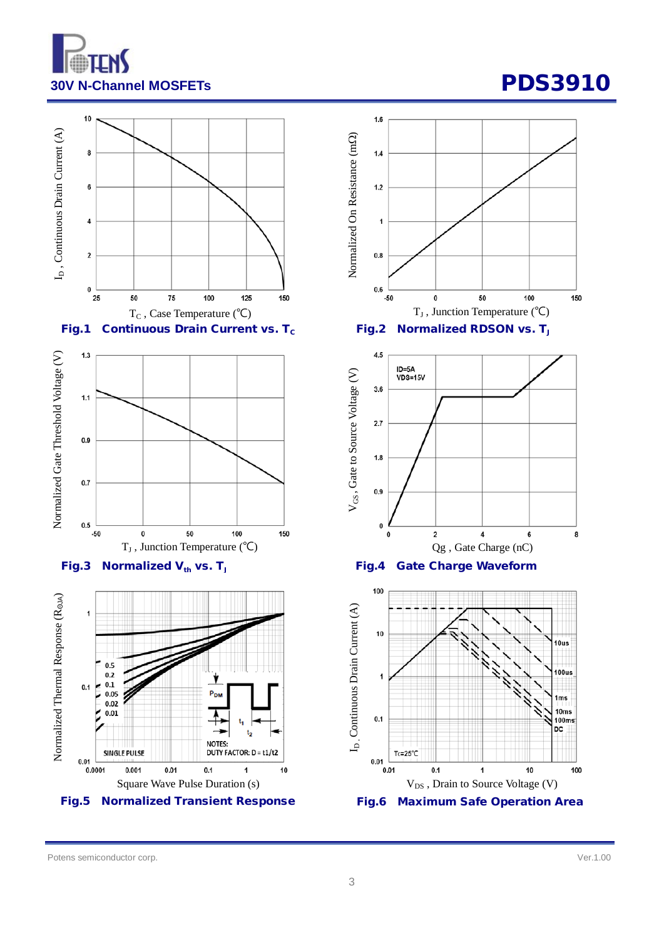













Potens semiconductor corp. Ver.1.00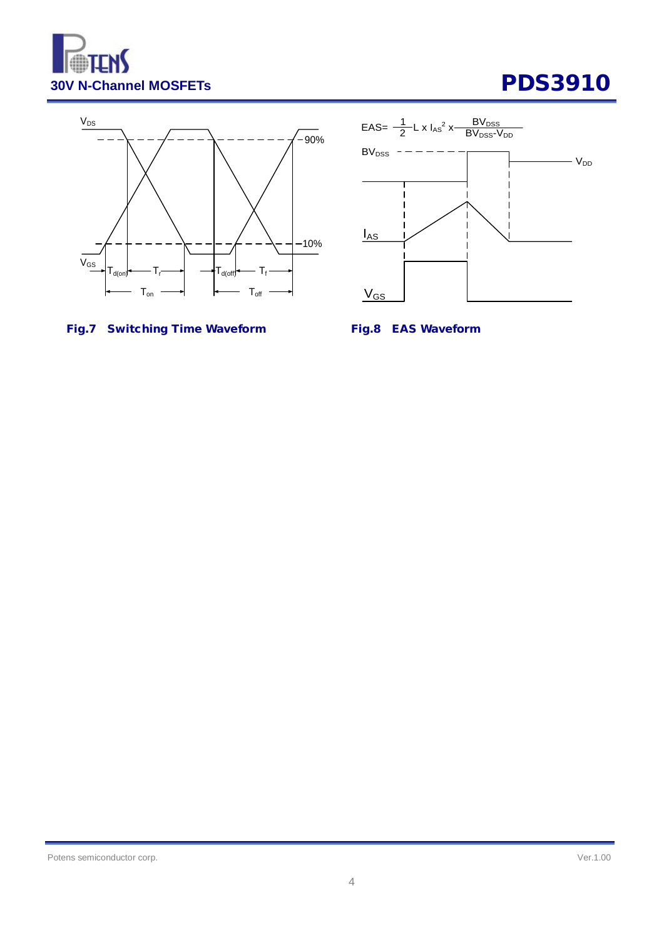





# Fig.7 Switching Time Waveform Fig.8 EAS Waveform